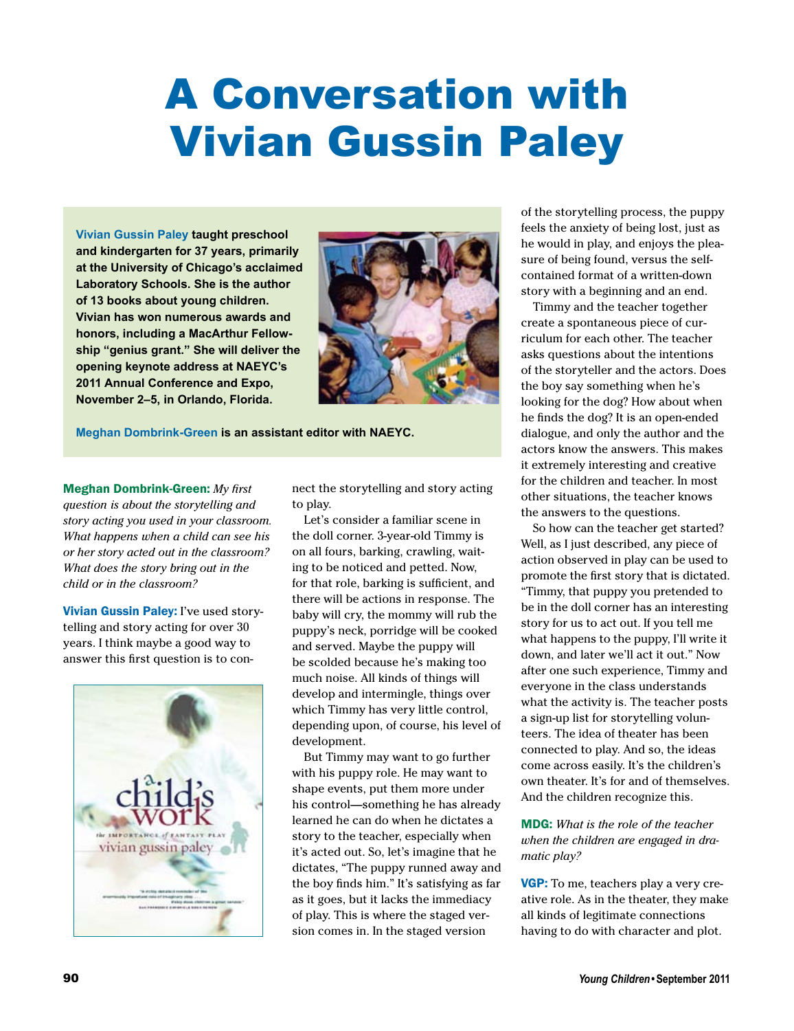## A Conversation with Vivian Gussin Paley

**Vivian Gussin Paley taught preschool and kindergarten for 37 years, primarily at the University of Chicago's acclaimed Laboratory Schools. She is the author of 13 books about young children. Vivian has won numerous awards and honors, including a MacArthur Fellowship "genius grant." She will deliver the opening keynote address at NAEYC's 2011 Annual Conference and Expo, November 2–5, in Orlando, Florida.**



**Meghan Dombrink-Green is an assistant editor with NAEYC.**

Meghan Dombrink-Green: *My first question is about the storytelling and story acting you used in your classroom. What happens when a child can see his or her story acted out in the classroom? What does the story bring out in the child or in the classroom?*

Vivian Gussin Paley: I've used storytelling and story acting for over 30 years. I think maybe a good way to answer this first question is to con-



nect the storytelling and story acting to play.

Let's consider a familiar scene in the doll corner. 3-year-old Timmy is on all fours, barking, crawling, waiting to be noticed and petted. Now, for that role, barking is sufficient, and there will be actions in response. The baby will cry, the mommy will rub the puppy's neck, porridge will be cooked and served. Maybe the puppy will be scolded because he's making too much noise. All kinds of things will develop and intermingle, things over which Timmy has very little control, depending upon, of course, his level of development.

But Timmy may want to go further with his puppy role. He may want to shape events, put them more under his control—something he has already learned he can do when he dictates a story to the teacher, especially when it's acted out. So, let's imagine that he dictates, "The puppy runned away and the boy finds him." It's satisfying as far as it goes, but it lacks the immediacy of play. This is where the staged version comes in. In the staged version

of the storytelling process, the puppy feels the anxiety of being lost, just as he would in play, and enjoys the pleasure of being found, versus the selfcontained format of a written-down story with a beginning and an end.

Timmy and the teacher together create a spontaneous piece of curriculum for each other. The teacher asks questions about the intentions of the storyteller and the actors. Does the boy say something when he's looking for the dog? How about when he finds the dog? It is an open-ended dialogue, and only the author and the actors know the answers. This makes it extremely interesting and creative for the children and teacher. In most other situations, the teacher knows the answers to the questions.

So how can the teacher get started? Well, as I just described, any piece of action observed in play can be used to promote the first story that is dictated. "Timmy, that puppy you pretended to be in the doll corner has an interesting story for us to act out. If you tell me what happens to the puppy, I'll write it down, and later we'll act it out." Now after one such experience, Timmy and everyone in the class understands what the activity is. The teacher posts a sign-up list for storytelling volunteers. The idea of theater has been connected to play. And so, the ideas come across easily. It's the children's own theater. It's for and of themselves. And the children recognize this.

MDG: *What is the role of the teacher when the children are engaged in dramatic play?*

VGP: To me, teachers play a very creative role. As in the theater, they make all kinds of legitimate connections having to do with character and plot.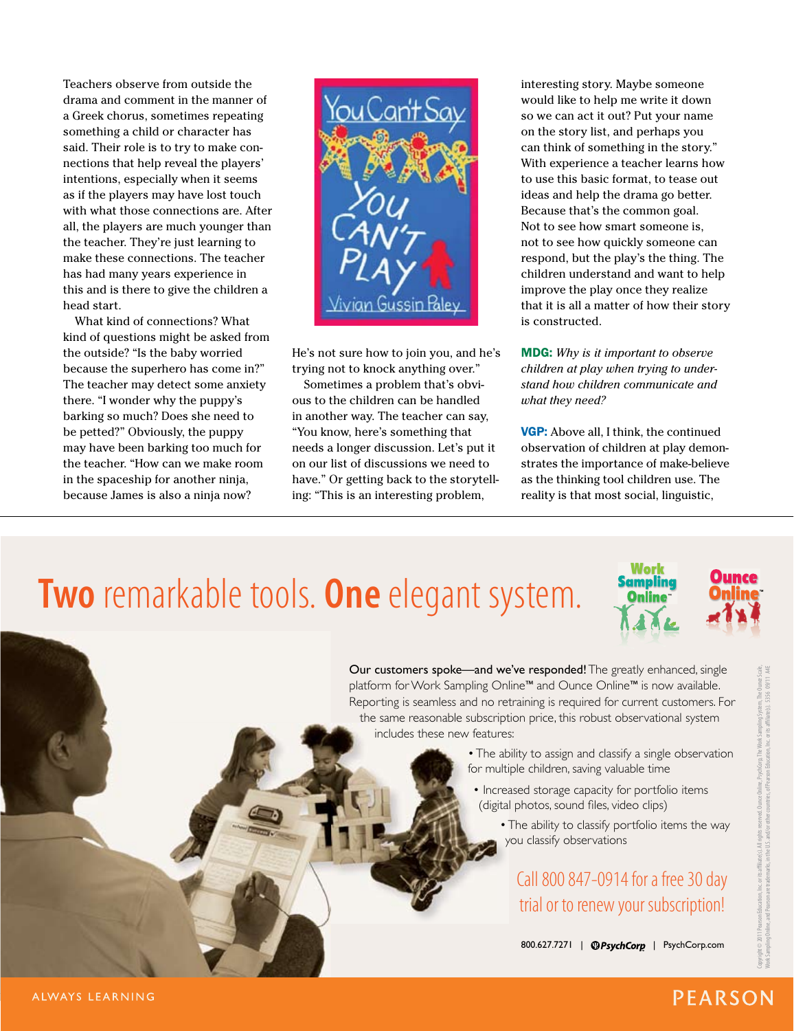Teachers observe from outside the drama and comment in the manner of a Greek chorus, sometimes repeating something a child or character has said. Their role is to try to make connections that help reveal the players' intentions, especially when it seems as if the players may have lost touch with what those connections are. After all, the players are much younger than the teacher. They're just learning to make these connections. The teacher has had many years experience in this and is there to give the children a head start.

What kind of connections? What kind of questions might be asked from the outside? "Is the baby worried because the superhero has come in?" The teacher may detect some anxiety there. "I wonder why the puppy's barking so much? Does she need to be petted?" Obviously, the puppy may have been barking too much for the teacher. "How can we make room in the spaceship for another ninja, because James is also a ninja now?

vian Gussin Paley

He's not sure how to join you, and he's trying not to knock anything over."

Sometimes a problem that's obvious to the children can be handled in another way. The teacher can say, "You know, here's something that needs a longer discussion. Let's put it on our list of discussions we need to have." Or getting back to the storytelling: "This is an interesting problem,

interesting story. Maybe someone would like to help me write it down so we can act it out? Put your name on the story list, and perhaps you can think of something in the story." With experience a teacher learns how to use this basic format, to tease out ideas and help the drama go better. Because that's the common goal. Not to see how smart someone is, not to see how quickly someone can respond, but the play's the thing. The children understand and want to help improve the play once they realize that it is all a matter of how their story is constructed.

MDG: *Why is it important to observe children at play when trying to understand how children communicate and what they need?*

**VGP:** Above all, I think, the continued observation of children at play demonstrates the importance of make-believe as the thinking tool children use. The reality is that most social, linguistic,

## **Two** remarkable tools. **One** elegant system. The end **Two** remarkable tools. One elegant system. Sonting



platform for Work Sampling Online™ and Ounce Online™ is now available. .<br>Reporting is seamless and no retraining is required for current customers. For the same reasonable subscription price, this robust observational system includes these new features: this robust observation price, the system of the system of the system of the system of the system of the system of the system of the system of the system of the system of the system of the syst Our customers spoke—and we've responded! The greatly enhanced, single

- for multiple children, saving valuable time • The ability to assign and classify a single observation
	- Increased storage capacity for portfolio items (digital photos, sound files, video clips)
		- The ability to classify portfolio items the way you classify observations you classify observations

Call 800 847-0914 for a fice 30 day trial or to renew your subscription! Call 800 847-0914 for a free 30 day trial or to renew your subscription!

800.627.7271 | **@PsychCorp** | PsychCorp.com

ALWAYS LEARNING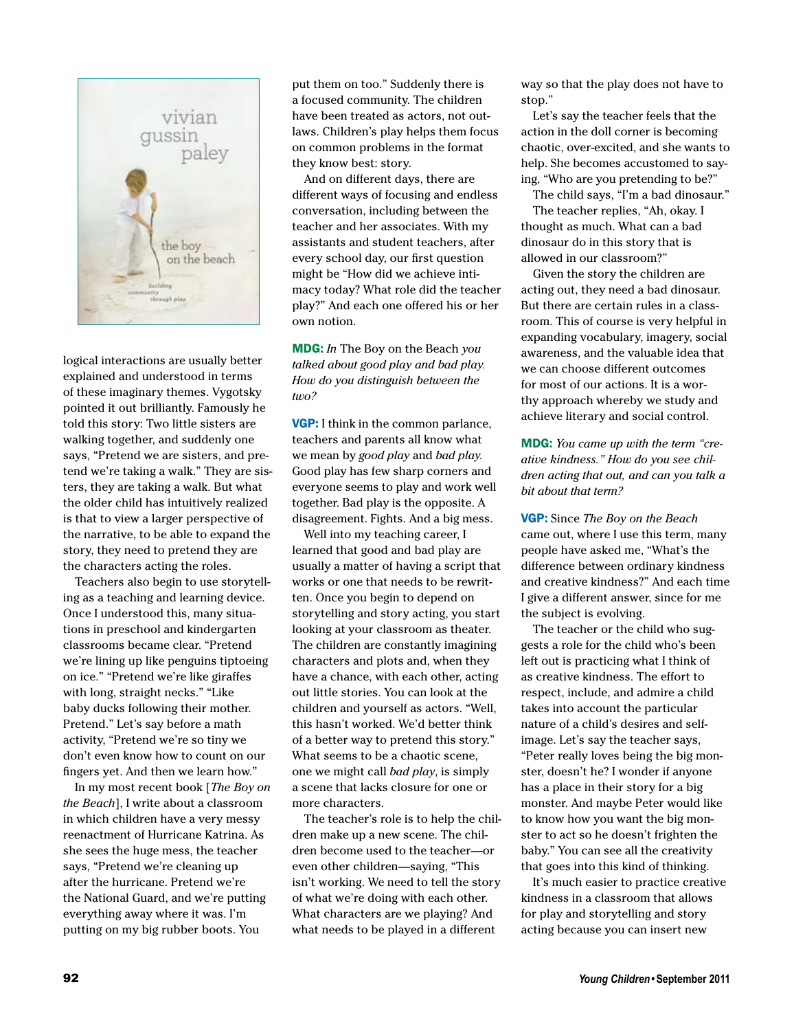

logical interactions are usually better explained and understood in terms of these imaginary themes. Vygotsky pointed it out brilliantly. Famously he told this story: Two little sisters are walking together, and suddenly one says, "Pretend we are sisters, and pretend we're taking a walk." They are sisters, they are taking a walk. But what the older child has intuitively realized is that to view a larger perspective of the narrative, to be able to expand the story, they need to pretend they are the characters acting the roles.

Teachers also begin to use storytelling as a teaching and learning device. Once I understood this, many situations in preschool and kindergarten classrooms became clear. "Pretend we're lining up like penguins tiptoeing on ice." "Pretend we're like giraffes with long, straight necks." "Like baby ducks following their mother. Pretend." Let's say before a math activity, "Pretend we're so tiny we don't even know how to count on our fingers yet. And then we learn how."

In my most recent book [*The Boy on the Beach*], I write about a classroom in which children have a very messy reenactment of Hurricane Katrina. As she sees the huge mess, the teacher says, "Pretend we're cleaning up after the hurricane. Pretend we're the National Guard, and we're putting everything away where it was. I'm putting on my big rubber boots. You

put them on too." Suddenly there is a focused community. The children have been treated as actors, not outlaws. Children's play helps them focus on common problems in the format they know best: story.

And on different days, there are different ways of focusing and endless conversation, including between the teacher and her associates. With my assistants and student teachers, after every school day, our first question might be "How did we achieve intimacy today? What role did the teacher play?" And each one offered his or her own notion.

MDG: *In* The Boy on the Beach *you talked about good play and bad play. How do you distinguish between the two?*

VGP: I think in the common parlance, teachers and parents all know what we mean by *good play* and *bad play.*  Good play has few sharp corners and everyone seems to play and work well together. Bad play is the opposite. A disagreement. Fights. And a big mess.

Well into my teaching career, I learned that good and bad play are usually a matter of having a script that works or one that needs to be rewritten. Once you begin to depend on storytelling and story acting, you start looking at your classroom as theater. The children are constantly imagining characters and plots and, when they have a chance, with each other, acting out little stories. You can look at the children and yourself as actors. "Well, this hasn't worked. We'd better think of a better way to pretend this story." What seems to be a chaotic scene, one we might call *bad play*, is simply a scene that lacks closure for one or more characters.

The teacher's role is to help the children make up a new scene. The children become used to the teacher—or even other children—saying, "This isn't working. We need to tell the story of what we're doing with each other. What characters are we playing? And what needs to be played in a different

way so that the play does not have to stop."

Let's say the teacher feels that the action in the doll corner is becoming chaotic, over-excited, and she wants to help. She becomes accustomed to saying, "Who are you pretending to be?"

The child says, "I'm a bad dinosaur." The teacher replies, "Ah, okay. I thought as much. What can a bad dinosaur do in this story that is allowed in our classroom?"

Given the story the children are acting out, they need a bad dinosaur. But there are certain rules in a classroom. This of course is very helpful in expanding vocabulary, imagery, social awareness, and the valuable idea that we can choose different outcomes for most of our actions. It is a worthy approach whereby we study and achieve literary and social control.

MDG: *You came up with the term "creative kindness." How do you see children acting that out, and can you talk a bit about that term?*

VGP: Since *The Boy on the Beach* came out, where I use this term, many people have asked me, "What's the difference between ordinary kindness and creative kindness?" And each time I give a different answer, since for me the subject is evolving.

The teacher or the child who suggests a role for the child who's been left out is practicing what I think of as creative kindness. The effort to respect, include, and admire a child takes into account the particular nature of a child's desires and selfimage. Let's say the teacher says, "Peter really loves being the big monster, doesn't he? I wonder if anyone has a place in their story for a big monster. And maybe Peter would like to know how you want the big monster to act so he doesn't frighten the baby." You can see all the creativity that goes into this kind of thinking.

It's much easier to practice creative kindness in a classroom that allows for play and storytelling and story acting because you can insert new